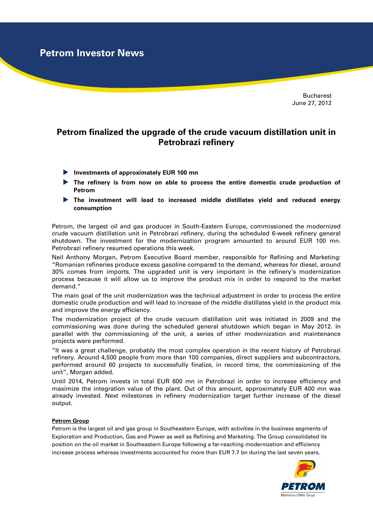**Petrom Investor News**

Bucharest June 27, 2012

## **Petrom finalized the upgrade of the crude vacuum distillation unit in Petrobrazi refinery**

- **Investments of approximately EUR 100 mn**
- **The refinery is from now on able to process the entire domestic crude production of Petrom**
- **The investment will lead to increased middle distillates yield and reduced energy consumption**

Petrom, the largest oil and gas producer in South-Eastern Europe, commissioned the modernized crude vacuum distillation unit in Petrobrazi refinery, during the scheduled 6-week refinery general shutdown. The investment for the modernization program amounted to around EUR 100 mn. Petrobrazi refinery resumed operations this week.

Neil Anthony Morgan, Petrom Executive Board member, responsible for Refining and Marketing: "Romanian refineries produce excess gasoline compared to the demand, whereas for diesel, around 30% comes from imports. The upgraded unit is very important in the refinery's modernization process because it will allow us to improve the product mix in order to respond to the market demand."

The main goal of the unit modernization was the technical adjustment in order to process the entire domestic crude production and will lead to increase of the middle distillates yield in the product mix and improve the energy efficiency.

The modernization project of the crude vacuum distillation unit was initiated in 2009 and the commissioning was done during the scheduled general shutdown which began in May 2012. In parallel with the commissioning of the unit, a series of other modernization and maintenance projects were performed.

"It was a great challenge, probably the most complex operation in the recent history of Petrobrazi refinery. Around 4,500 people from more than 100 companies, direct suppliers and subcontractors, performed around 60 projects to successfully finalize, in record time, the commissioning of the unit", Morgan added.

Until 2014, Petrom invests in total EUR 600 mn in Petrobrazi in order to increase efficiency and maximize the integration value of the plant. Out of this amount, approximately EUR 400 mn was already invested. Next milestones in refinery modernization target further increase of the diesel output.

## **Petrom Group**

Petrom is the largest oil and gas group in Southeastern Europe, with activities in the business segments of Exploration and Production, Gas and Power as well as Refining and Marketing. The Group consolidated its position on the oil market in Southeastern Europe following a far-reaching modernization and efficiency increase process whereas investments accounted for more than EUR 7.7 bn during the last seven years.